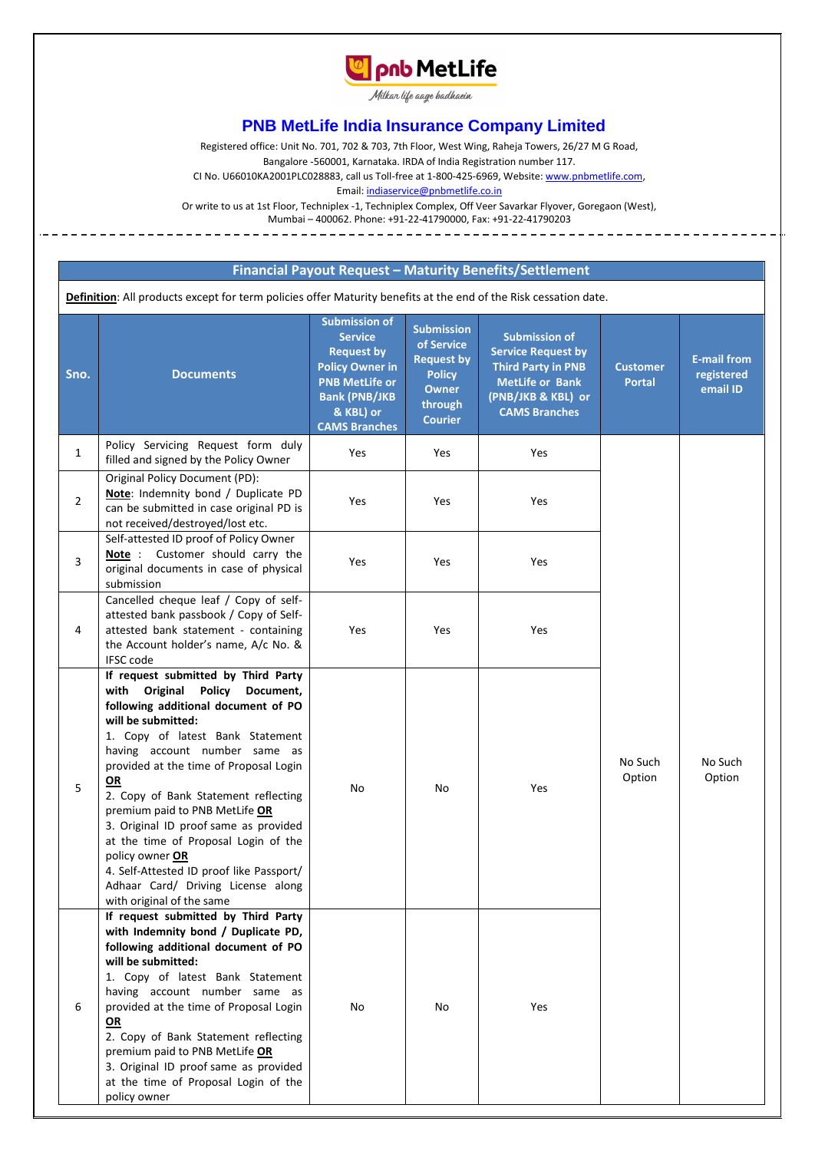

Milkan life aage badhaein

# **PNB MetLife India Insurance Company Limited**

Registered office: Unit No. 701, 702 & 703, 7th Floor, West Wing, Raheja Towers, 26/27 M G Road,

Bangalore -560001, Karnataka. IRDA of India Registration number 117.

CI No. U66010KA2001PLC028883, call us Toll-free at 1-800-425-6969, Website[: www.pnbmetlife.com,](http://www.pnbmetlife.com/)

Email[: indiaservice@pnbmetlife.co.in](mailto:indiaservice@pnbmetlife.co.in) 

Or write to us at 1st Floor, Techniplex -1, Techniplex Complex, Off Veer Savarkar Flyover, Goregaon (West),

Mumbai – 400062. Phone: +91-22-41790000, Fax: +91-22-41790203

----------

## **Financial Payout Request – Maturity Benefits/Settlement**

**Definition**: All products except for term policies offer Maturity benefits at the end of the Risk cessation date.

| Sno.           | <b>Documents</b>                                                                                                                                                                                                                                                                                                                                                                                                                                                                                                                                        | <b>Submission of</b><br><b>Service</b><br><b>Request by</b><br><b>Policy Owner in</b><br><b>PNB MetLife or</b><br><b>Bank (PNB/JKB</b><br>& KBL) or<br><b>CAMS Branches</b> | <b>Submission</b><br>of Service<br><b>Request by</b><br><b>Policy</b><br><b>Owner</b><br>through<br><b>Courier</b> | <b>Submission of</b><br><b>Service Request by</b><br><b>Third Party in PNB</b><br><b>MetLife or Bank</b><br>(PNB/JKB & KBL) or<br><b>CAMS Branches</b> | <b>Customer</b><br><b>Portal</b> | <b>E-mail from</b><br>registered<br>email ID |
|----------------|---------------------------------------------------------------------------------------------------------------------------------------------------------------------------------------------------------------------------------------------------------------------------------------------------------------------------------------------------------------------------------------------------------------------------------------------------------------------------------------------------------------------------------------------------------|-----------------------------------------------------------------------------------------------------------------------------------------------------------------------------|--------------------------------------------------------------------------------------------------------------------|--------------------------------------------------------------------------------------------------------------------------------------------------------|----------------------------------|----------------------------------------------|
| $\mathbf{1}$   | Policy Servicing Request form duly<br>filled and signed by the Policy Owner                                                                                                                                                                                                                                                                                                                                                                                                                                                                             | Yes                                                                                                                                                                         | Yes                                                                                                                | Yes                                                                                                                                                    | No Such<br>Option                |                                              |
| $\overline{2}$ | Original Policy Document (PD):<br>Note: Indemnity bond / Duplicate PD<br>can be submitted in case original PD is<br>not received/destroyed/lost etc.                                                                                                                                                                                                                                                                                                                                                                                                    | Yes                                                                                                                                                                         | Yes                                                                                                                | Yes                                                                                                                                                    |                                  |                                              |
| 3              | Self-attested ID proof of Policy Owner<br>Note: Customer should carry the<br>original documents in case of physical<br>submission                                                                                                                                                                                                                                                                                                                                                                                                                       | Yes                                                                                                                                                                         | Yes                                                                                                                | Yes                                                                                                                                                    |                                  | No Such<br>Option                            |
| 4              | Cancelled cheque leaf / Copy of self-<br>attested bank passbook / Copy of Self-<br>attested bank statement - containing<br>the Account holder's name, A/c No. &<br><b>IFSC code</b>                                                                                                                                                                                                                                                                                                                                                                     | Yes                                                                                                                                                                         | Yes                                                                                                                | Yes                                                                                                                                                    |                                  |                                              |
| 5              | If request submitted by Third Party<br>with Original Policy<br>Document,<br>following additional document of PO<br>will be submitted:<br>1. Copy of latest Bank Statement<br>having account number same as<br>provided at the time of Proposal Login<br>OR<br>2. Copy of Bank Statement reflecting<br>premium paid to PNB MetLife OR<br>3. Original ID proof same as provided<br>at the time of Proposal Login of the<br>policy owner OR<br>4. Self-Attested ID proof like Passport/<br>Adhaar Card/ Driving License along<br>with original of the same | No                                                                                                                                                                          | No                                                                                                                 | Yes                                                                                                                                                    |                                  |                                              |
| 6              | If request submitted by Third Party<br>with Indemnity bond / Duplicate PD,<br>following additional document of PO<br>will be submitted:<br>1. Copy of latest Bank Statement<br>having account number same as<br>provided at the time of Proposal Login<br>QR<br>2. Copy of Bank Statement reflecting<br>premium paid to PNB MetLife OR<br>3. Original ID proof same as provided<br>at the time of Proposal Login of the<br>policy owner                                                                                                                 | No                                                                                                                                                                          | No                                                                                                                 | Yes                                                                                                                                                    |                                  |                                              |